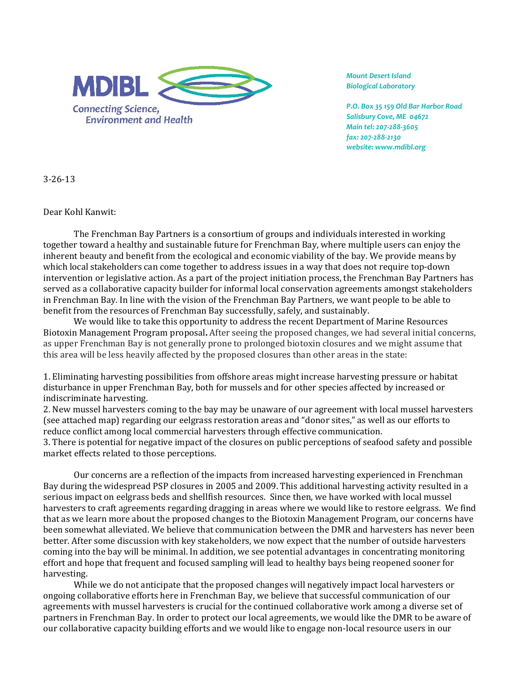

*Mount Desert Island Biological Laboratory*

*P.O. Box 35 159 Old Bar Harbor Road Salisbury Cove, ME 04672 Main tel: 207‐288‐3605 fax: 207‐288‐2130 website: www.mdibl.org*

3‐26‐13

Dear Kohl Kanwit:

The Frenchman Bay Partners is a consortium of groups and individuals interested in working together toward a healthy and sustainable future for Frenchman Bay, where multiple users can enjoy the inherent beauty and benefit from the ecological and economic viability of the bay. We provide means by which local stakeholders can come together to address issues in a way that does not require top-down intervention or legislative action. As a part of the project initiation process, the Frenchman Bay Partners has served as a collaborative capacity builder for informal local conservation agreements amongst stakeholders in Frenchman Bay. In line with the vision of the Frenchman Bay Partners, we want people to be able to benefit from the resources of Frenchman Bay successfully, safely, and sustainably.

We would like to take this opportunity to address the recent Department of Marine Resources Biotoxin Management Program proposal**.** After seeing the proposed changes, we had several initial concerns, as upper Frenchman Bay is not generally prone to prolonged biotoxin closures and we might assume that this area will be less heavily affected by the proposed closures than other areas in the state:

1. Eliminating harvesting possibilities from offshore areas might increase harvesting pressure or habitat disturbance in upper Frenchman Bay, both for mussels and for other species affected by increased or indiscriminate harvesting.

2. New mussel harvesters coming to the bay may be unaware of our agreement with local mussel harvesters (see attached map) regarding our eelgrass restoration areas and "donor sites," as well as our efforts to reduce conflict among local commercial harvesters through effective communication.

3. There is potential for negative impact of the closures on public perceptions of seafood safety and possible market effects related to those perceptions.

Our concerns are a reflection of the impacts from increased harvesting experienced in Frenchman Bay during the widespread PSP closures in 2005 and 2009. This additional harvesting activity resulted in a serious impact on eelgrass beds and shellfish resources. Since then, we have worked with local mussel harvesters to craft agreements regarding dragging in areas where we would like to restore eelgrass. We find that as we learn more about the proposed changes to the Biotoxin Management Program, our concerns have been somewhat alleviated. We believe that communication between the DMR and harvesters has never been better. After some discussion with key stakeholders, we now expect that the number of outside harvesters coming into the bay will be minimal. In addition, we see potential advantages in concentrating monitoring effort and hope that frequent and focused sampling will lead to healthy bays being reopened sooner for harvesting.

While we do not anticipate that the proposed changes will negatively impact local harvesters or ongoing collaborative efforts here in Frenchman Bay, we believe that successful communication of our agreements with mussel harvesters is crucial for the continued collaborative work among a diverse set of partners in Frenchman Bay. In order to protect our local agreements, we would like the DMR to be aware of our collaborative capacity building efforts and we would like to engage non‐local resource users in our